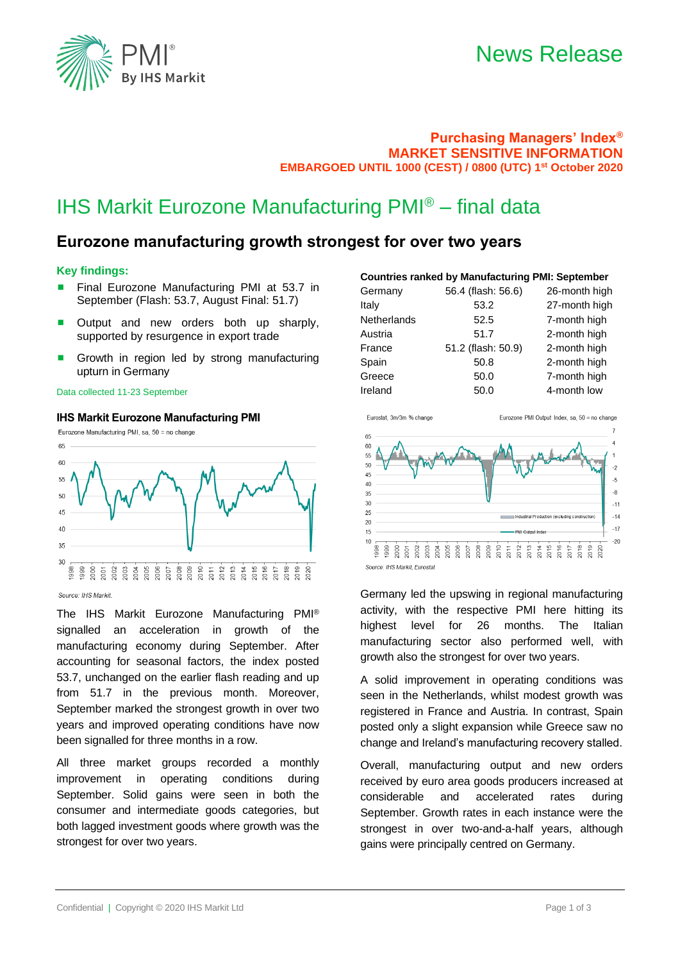

## News Release

### **Purchasing Managers' Index® MARKET SENSITIVE INFORMATION EMBARGOED UNTIL 1000 (CEST) / 0800 (UTC) 1 st October 2020**

# IHS Markit Eurozone Manufacturing PMI® – final data

### **Eurozone manufacturing growth strongest for over two years**

### **Key findings:**

- Final Eurozone Manufacturing PMI at 53.7 in September (Flash: 53.7, August Final: 51.7)
- Output and new orders both up sharply, supported by resurgence in export trade
- Growth in region led by strong manufacturing upturn in Germany

#### Data collected 11-23 September

### **IHS Markit Eurozone Manufacturing PMI**



Source: IHS Markit

The IHS Markit Eurozone Manufacturing PMI® signalled an acceleration in growth of the manufacturing economy during September. After accounting for seasonal factors, the index posted 53.7, unchanged on the earlier flash reading and up from 51.7 in the previous month. Moreover, September marked the strongest growth in over two years and improved operating conditions have now been signalled for three months in a row.

All three market groups recorded a monthly improvement in operating conditions during September. Solid gains were seen in both the consumer and intermediate goods categories, but both lagged investment goods where growth was the strongest for over two years.

### **Countries ranked by Manufacturing PMI: September**

| Germany     | 56.4 (flash: 56.6) | 26-month high |
|-------------|--------------------|---------------|
| Italy       | 53.2               | 27-month high |
| Netherlands | 52.5               | 7-month high  |
| Austria     | 51.7               | 2-month high  |
| France      | 51.2 (flash: 50.9) | 2-month high  |
| Spain       | 50.8               | 2-month high  |
| Greece      | 50.0               | 7-month high  |
| Ireland     | 50.0               | 4-month low   |
|             |                    |               |



Source: IHS Markit, Eurosta

Germany led the upswing in regional manufacturing activity, with the respective PMI here hitting its highest level for 26 months. The Italian manufacturing sector also performed well, with growth also the strongest for over two years.

A solid improvement in operating conditions was seen in the Netherlands, whilst modest growth was registered in France and Austria. In contrast, Spain posted only a slight expansion while Greece saw no change and Ireland's manufacturing recovery stalled.

Overall, manufacturing output and new orders received by euro area goods producers increased at considerable and accelerated rates during September. Growth rates in each instance were the strongest in over two-and-a-half years, although gains were principally centred on Germany.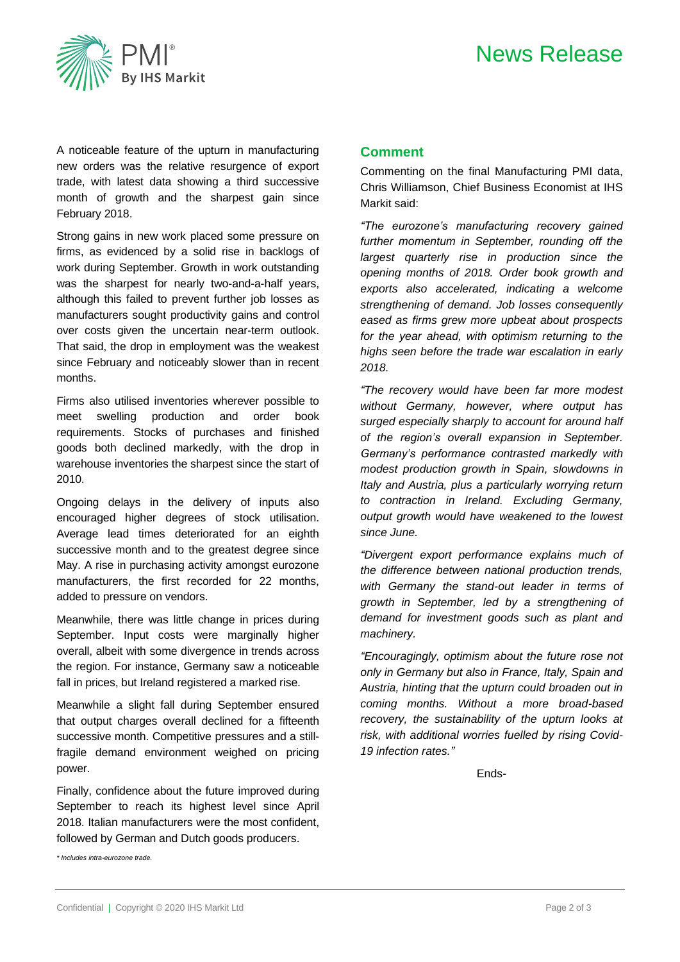# News Release



A noticeable feature of the upturn in manufacturing new orders was the relative resurgence of export trade, with latest data showing a third successive month of growth and the sharpest gain since February 2018.

Strong gains in new work placed some pressure on firms, as evidenced by a solid rise in backlogs of work during September. Growth in work outstanding was the sharpest for nearly two-and-a-half years, although this failed to prevent further job losses as manufacturers sought productivity gains and control over costs given the uncertain near-term outlook. That said, the drop in employment was the weakest since February and noticeably slower than in recent months.

Firms also utilised inventories wherever possible to meet swelling production and order book requirements. Stocks of purchases and finished goods both declined markedly, with the drop in warehouse inventories the sharpest since the start of 2010.

Ongoing delays in the delivery of inputs also encouraged higher degrees of stock utilisation. Average lead times deteriorated for an eighth successive month and to the greatest degree since May. A rise in purchasing activity amongst eurozone manufacturers, the first recorded for 22 months, added to pressure on vendors.

Meanwhile, there was little change in prices during September. Input costs were marginally higher overall, albeit with some divergence in trends across the region. For instance, Germany saw a noticeable fall in prices, but Ireland registered a marked rise.

Meanwhile a slight fall during September ensured that output charges overall declined for a fifteenth successive month. Competitive pressures and a stillfragile demand environment weighed on pricing power.

Finally, confidence about the future improved during September to reach its highest level since April 2018. Italian manufacturers were the most confident, followed by German and Dutch goods producers.

*\* Includes intra-eurozone trade.*

### **Comment**

Commenting on the final Manufacturing PMI data, Chris Williamson, Chief Business Economist at IHS Markit said:

*"The eurozone's manufacturing recovery gained further momentum in September, rounding off the largest quarterly rise in production since the opening months of 2018. Order book growth and exports also accelerated, indicating a welcome strengthening of demand. Job losses consequently eased as firms grew more upbeat about prospects for the year ahead, with optimism returning to the highs seen before the trade war escalation in early 2018.*

*"The recovery would have been far more modest without Germany, however, where output has surged especially sharply to account for around half of the region's overall expansion in September. Germany's performance contrasted markedly with modest production growth in Spain, slowdowns in Italy and Austria, plus a particularly worrying return to contraction in Ireland. Excluding Germany, output growth would have weakened to the lowest since June.*

*"Divergent export performance explains much of the difference between national production trends, with Germany the stand-out leader in terms of growth in September, led by a strengthening of demand for investment goods such as plant and machinery.*

*"Encouragingly, optimism about the future rose not only in Germany but also in France, Italy, Spain and Austria, hinting that the upturn could broaden out in coming months. Without a more broad-based recovery, the sustainability of the upturn looks at risk, with additional worries fuelled by rising Covid-19 infection rates."*

Ends-